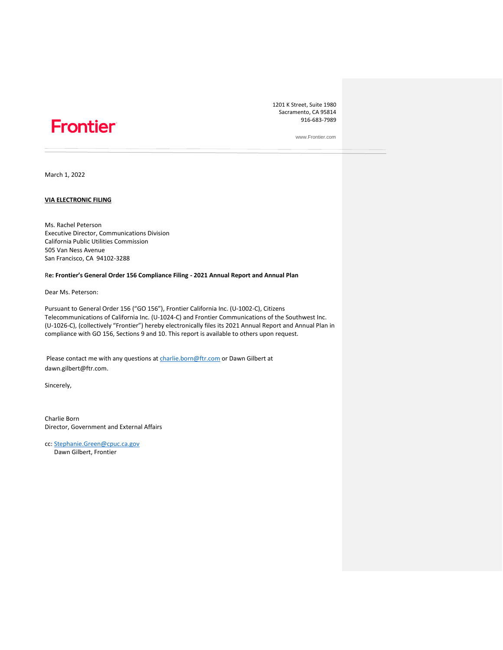# Frontier®

1201 K Street, Suite 1980 Sacramento, CA 95814 916-683-7989

www.Frontier.com

March 1, 2022

#### **VIA ELECTRONIC FILING**

Ms. Rachel Peterson Executive Director, Communications Division California Public Utilities Commission 505 Van Ness Avenue San Francisco, CA 94102-3288

#### R**e: Frontier's General Order 156 Compliance Filing - 2021 Annual Report and Annual Plan**

Dear Ms. Peterson:

Pursuant to General Order 156 ("GO 156"), Frontier California Inc. (U-1002-C), Citizens Telecommunications of California Inc. (U-1024-C) and Frontier Communications of the Southwest Inc. (U-1026-C), (collectively "Frontier") hereby electronically files its 2021 Annual Report and Annual Plan in compliance with GO 156, Sections 9 and 10. This report is available to others upon request.

Please contact me with any questions at [charlie.born@ftr.com](mailto:charlie.born@ftr.com) or Dawn Gilbert at dawn.gilbert@ftr.com.

Sincerely,

Charlie Born Director, Government and External Affairs

cc: [Stephanie.Green@cpuc.ca.gov](mailto:Stephanie.Green@cpuc.ca.gov) Dawn Gilbert, Frontier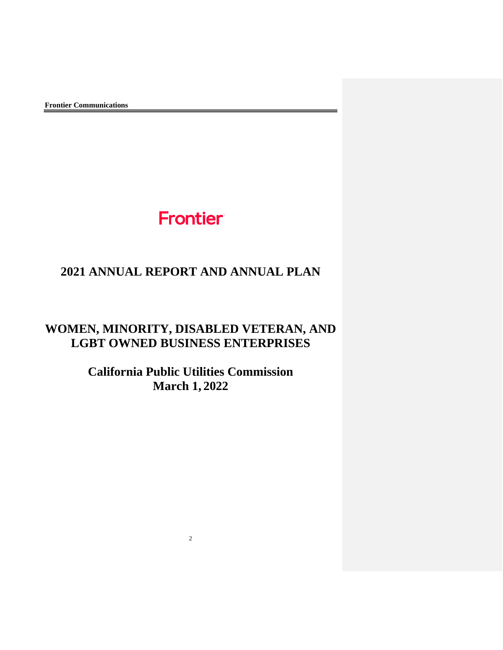# Frontier

# **2021 ANNUAL REPORT AND ANNUAL PLAN**

# **WOMEN, MINORITY, DISABLED VETERAN, AND LGBT OWNED BUSINESS ENTERPRISES**

**California Public Utilities Commission March 1, 2022**

2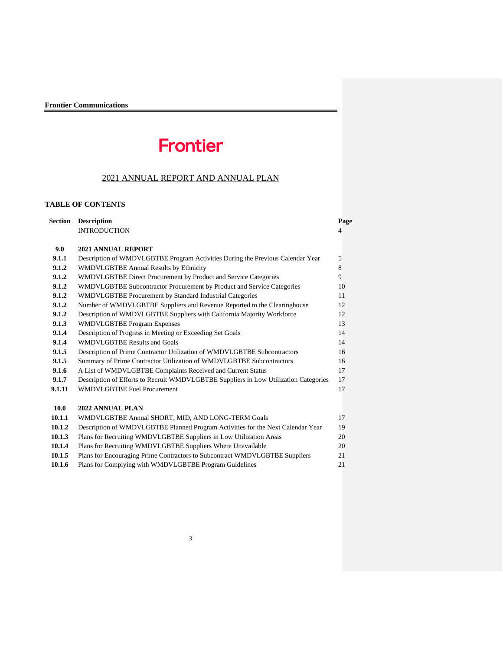# Frontier

# 2021 ANNUAL REPORT AND ANNUAL PLAN

## **TABLE OF CONTENTS**

|        | <b>Section Description</b>                                                           | Page           |
|--------|--------------------------------------------------------------------------------------|----------------|
|        | <b>INTRODUCTION</b>                                                                  | $\overline{4}$ |
|        |                                                                                      |                |
| 9.0    | 2021 ANNUAL REPORT                                                                   |                |
| 9.1.1  | Description of WMDVLGBTBE Program Activities During the Previous Calendar Year       | 5              |
| 9.1.2  | <b>WMDVLGBTBE Annual Results by Ethnicity</b>                                        | 8              |
| 9.1.2  | WMDVLGBTBE Direct Procurement by Product and Service Categories                      | 9              |
| 9.1.2  | WMDVLGBTBE Subcontractor Procurement by Product and Service Categories               | 10             |
| 9.1.2  | <b>WMDVLGBTBE Procurement by Standard Industrial Categories</b>                      | 11             |
| 9.1.2  | Number of WMDVLGBTBE Suppliers and Revenue Reported to the Clearinghouse             | 12             |
| 9.1.2  | Description of WMDVLGBTBE Suppliers with California Majority Workforce               | 12             |
| 9.1.3  | <b>WMDVLGBTBE Program Expenses</b>                                                   | 13             |
| 9.1.4  | Description of Progress in Meeting or Exceeding Set Goals                            | 14             |
| 9.1.4  | <b>WMDVLGBTBE Results and Goals</b>                                                  | 14             |
| 9.1.5  | Description of Prime Contractor Utilization of WMDVLGBTBE Subcontractors             | 16             |
| 9.1.5  | Summary of Prime Contractor Utilization of WMDVLGBTBE Subcontractors                 | 16             |
| 9.1.6  | A List of WMDVLGBTBE Complaints Received and Current Status                          | 17             |
| 9.1.7  | Description of Efforts to Recruit WMDVLGBTBE Suppliers in Low Utilization Categories | 17             |
| 9.1.11 | <b>WMDVLGBTBE Fuel Procurement</b>                                                   | 17             |
|        |                                                                                      |                |
| 10.0   | 2022 ANNUAL PLAN                                                                     |                |
| 10.1.1 | WMDVLGBTBE Annual SHORT, MID, AND LONG-TERM Goals                                    | 17             |
| 10.1.2 | Description of WMDVLGBTBE Planned Program Activities for the Next Calendar Year      | 19             |
| 10.1.3 | Plans for Recruiting WMDVLGBTBE Suppliers in Low Utilization Areas                   | 20             |
| 10.1.4 | Plans for Recruiting WMDVLGBTBE Suppliers Where Unavailable                          | 20             |
| 10.1.5 | Plans for Encouraging Prime Contractors to Subcontract WMDVLGBTBE Suppliers          | 21             |
| 10.1.6 | Plans for Complying with WMDVLGBTBE Program Guidelines                               | 21             |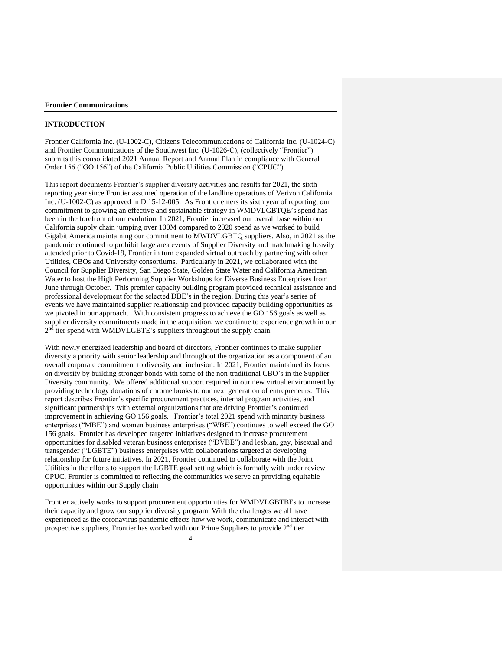#### **INTRODUCTION**

Frontier California Inc. (U-1002-C), Citizens Telecommunications of California Inc. (U-1024-C) and Frontier Communications of the Southwest Inc. (U-1026-C), (collectively "Frontier") submits this consolidated 2021 Annual Report and Annual Plan in compliance with General Order 156 ("GO 156") of the California Public Utilities Commission ("CPUC").

This report documents Frontier's supplier diversity activities and results for 2021, the sixth reporting year since Frontier assumed operation of the landline operations of Verizon California Inc. (U-1002-C) as approved in D.15-12-005. As Frontier enters its sixth year of reporting, our commitment to growing an effective and sustainable strategy in WMDVLGBTQE's spend has been in the forefront of our evolution. In 2021, Frontier increased our overall base within our California supply chain jumping over 100M compared to 2020 spend as we worked to build Gigabit America maintaining our commitment to MWDVLGBTQ suppliers. Also, in 2021 as the pandemic continued to prohibit large area events of Supplier Diversity and matchmaking heavily attended prior to Covid-19, Frontier in turn expanded virtual outreach by partnering with other Utilities, CBOs and University consortiums. Particularly in 2021, we collaborated with the Council for Supplier Diversity, San Diego State, Golden State Water and California American Water to host the High Performing Supplier Workshops for Diverse Business Enterprises from June through October. This premier capacity building program provided technical assistance and professional development for the selected DBE's in the region. During this year's series of events we have maintained supplier relationship and provided capacity building opportunities as we pivoted in our approach. With consistent progress to achieve the GO 156 goals as well as supplier diversity commitments made in the acquisition, we continue to experience growth in our  $2<sup>n\overline{d}</sup>$  tier spend with WMDVLGBTE's suppliers throughout the supply chain.

With newly energized leadership and board of directors, Frontier continues to make supplier diversity a priority with senior leadership and throughout the organization as a component of an overall corporate commitment to diversity and inclusion. In 2021, Frontier maintained its focus on diversity by building stronger bonds with some of the non-traditional CBO's in the Supplier Diversity community. We offered additional support required in our new virtual environment by providing technology donations of chrome books to our next generation of entrepreneurs. This report describes Frontier's specific procurement practices, internal program activities, and significant partnerships with external organizations that are driving Frontier's continued improvement in achieving GO 156 goals. Frontier's total 2021 spend with minority business enterprises ("MBE") and women business enterprises ("WBE") continues to well exceed the GO 156 goals. Frontier has developed targeted initiatives designed to increase procurement opportunities for disabled veteran business enterprises ("DVBE") and lesbian, gay, bisexual and transgender ("LGBTE") business enterprises with collaborations targeted at developing relationship for future initiatives. In 2021, Frontier continued to collaborate with the Joint Utilities in the efforts to support the LGBTE goal setting which is formally with under review CPUC. Frontier is committed to reflecting the communities we serve an providing equitable opportunities within our Supply chain

Frontier actively works to support procurement opportunities for WMDVLGBTBEs to increase their capacity and grow our supplier diversity program. With the challenges we all have experienced as the coronavirus pandemic effects how we work, communicate and interact with prospective suppliers, Frontier has worked with our Prime Suppliers to provide 2nd tier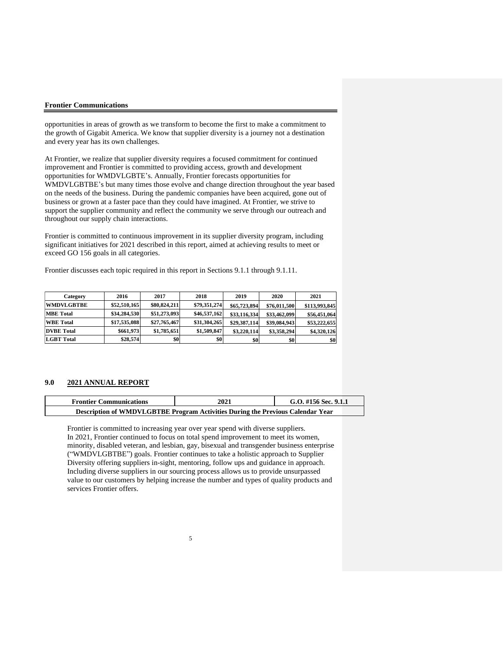opportunities in areas of growth as we transform to become the first to make a commitment to the growth of Gigabit America. We know that supplier diversity is a journey not a destination and every year has its own challenges.

At Frontier, we realize that supplier diversity requires a focused commitment for continued improvement and Frontier is committed to providing access, growth and development opportunities for WMDVLGBTE's. Annually, Frontier forecasts opportunities for WMDVLGBTBE's but many times those evolve and change direction throughout the year based on the needs of the business. During the pandemic companies have been acquired, gone out of business or grown at a faster pace than they could have imagined. At Frontier, we strive to support the supplier community and reflect the community we serve through our outreach and throughout our supply chain interactions.

Frontier is committed to continuous improvement in its supplier diversity program, including significant initiatives for 2021 described in this report, aimed at achieving results to meet or exceed GO 156 goals in all categories.

Frontier discusses each topic required in this report in Sections 9.1.1 through 9.1.11.

| Category          | 2016         | 2017         | 2018         | 2019         | 2020         | 2021          |
|-------------------|--------------|--------------|--------------|--------------|--------------|---------------|
| <b>WMDVLGBTBE</b> | \$52,510,165 | \$80,824,211 | \$79,351,274 | \$65,723,894 | \$76,011,500 | \$113,993,845 |
| <b>MBE</b> Total  | \$34,284,530 | \$51,273,093 | \$46,537,162 | \$33,116,334 | \$33,462,099 | \$56,451,064  |
| <b>WBE</b> Total  | \$17,535,088 | \$27,765,467 | \$31,304,265 | \$29,387,114 | \$39,084,943 | \$53,222,655  |
| <b>DVBE</b> Total | \$661,973    | \$1,785,651  | \$1,509,847  | \$3,220,114  | \$3,358,294  | \$4,320,126   |
| <b>LGBT</b> Total | \$28,574     | \$0          | \$0          | \$0          | \$0          | \$0           |

#### **9.0 2021 ANNUAL REPORT**

| <b>Frontier Communications</b>                                                 | 2021 | G.O. #156 Sec. 9.1.1 |
|--------------------------------------------------------------------------------|------|----------------------|
| Description of WMDVLGBTBE Program Activities During the Previous Calendar Year |      |                      |

Frontier is committed to increasing year over year spend with diverse suppliers. In 2021, Frontier continued to focus on total spend improvement to meet its women, minority, disabled veteran, and lesbian, gay, bisexual and transgender business enterprise ("WMDVLGBTBE") goals. Frontier continues to take a holistic approach to Supplier Diversity offering suppliers in-sight, mentoring, follow ups and guidance in approach. Including diverse suppliers in our sourcing process allows us to provide unsurpassed value to our customers by helping increase the number and types of quality products and services Frontier offers.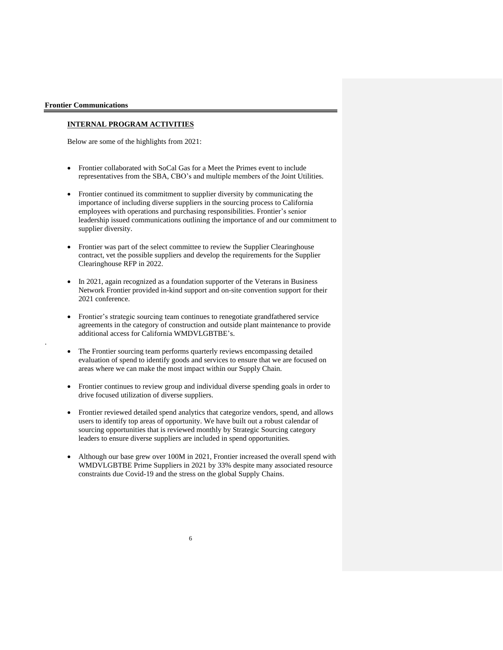.

#### **INTERNAL PROGRAM ACTIVITIES**

Below are some of the highlights from 2021:

- Frontier collaborated with SoCal Gas for a Meet the Primes event to include representatives from the SBA, CBO's and multiple members of the Joint Utilities.
- Frontier continued its commitment to supplier diversity by communicating the importance of including diverse suppliers in the sourcing process to California employees with operations and purchasing responsibilities. Frontier's senior leadership issued communications outlining the importance of and our commitment to supplier diversity.
- Frontier was part of the select committee to review the Supplier Clearinghouse contract, vet the possible suppliers and develop the requirements for the Supplier Clearinghouse RFP in 2022.
- In 2021, again recognized as a foundation supporter of the Veterans in Business Network Frontier provided in-kind support and on-site convention support for their 2021 conference.
- Frontier's strategic sourcing team continues to renegotiate grandfathered service agreements in the category of construction and outside plant maintenance to provide additional access for California WMDVLGBTBE's.
- The Frontier sourcing team performs quarterly reviews encompassing detailed evaluation of spend to identify goods and services to ensure that we are focused on areas where we can make the most impact within our Supply Chain.
- Frontier continues to review group and individual diverse spending goals in order to drive focused utilization of diverse suppliers.
- Frontier reviewed detailed spend analytics that categorize vendors, spend, and allows users to identify top areas of opportunity. We have built out a robust calendar of sourcing opportunities that is reviewed monthly by Strategic Sourcing category leaders to ensure diverse suppliers are included in spend opportunities.
- Although our base grew over 100M in 2021, Frontier increased the overall spend with WMDVLGBTBE Prime Suppliers in 2021 by 33% despite many associated resource constraints due Covid-19 and the stress on the global Supply Chains.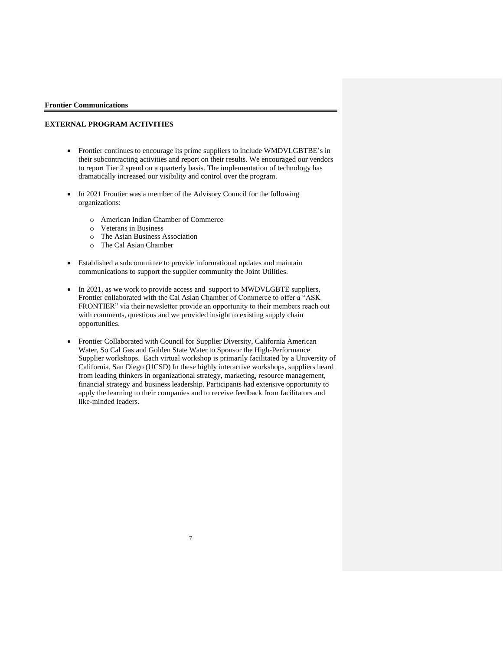### **EXTERNAL PROGRAM ACTIVITIES**

- Frontier continues to encourage its prime suppliers to include WMDVLGBTBE's in their subcontracting activities and report on their results. We encouraged our vendors to report Tier 2 spend on a quarterly basis. The implementation of technology has dramatically increased our visibility and control over the program.
- In 2021 Frontier was a member of the Advisory Council for the following organizations:
	- o American Indian Chamber of Commerce
	- o Veterans in Business
	- o The Asian Business Association
	- o The Cal Asian Chamber
- Established a subcommittee to provide informational updates and maintain communications to support the supplier community the Joint Utilities.
- In 2021, as we work to provide access and support to MWDVLGBTE suppliers, Frontier collaborated with the Cal Asian Chamber of Commerce to offer a "ASK FRONTIER" via their newsletter provide an opportunity to their members reach out with comments, questions and we provided insight to existing supply chain opportunities.
- Frontier Collaborated with Council for Supplier Diversity, California American Water, So Cal Gas and Golden State Water to Sponsor the High-Performance Supplier workshops. Each virtual workshop is primarily facilitated by a University of California, San Diego (UCSD) In these highly interactive workshops, suppliers heard from leading thinkers in organizational strategy, marketing, resource management, financial strategy and business leadership. Participants had extensive opportunity to apply the learning to their companies and to receive feedback from facilitators and like-minded leaders.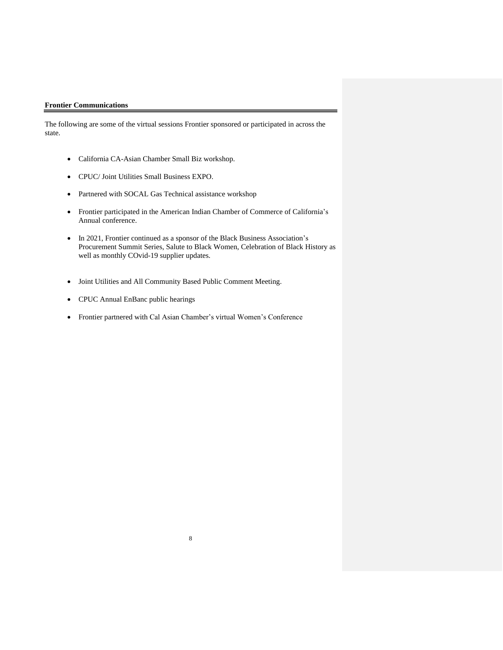The following are some of the virtual sessions Frontier sponsored or participated in across the state.

- California CA-Asian Chamber Small Biz workshop.
- CPUC/ Joint Utilities Small Business EXPO.
- Partnered with SOCAL Gas Technical assistance workshop
- Frontier participated in the American Indian Chamber of Commerce of California's Annual conference.
- In 2021, Frontier continued as a sponsor of the Black Business Association's Procurement Summit Series, Salute to Black Women, Celebration of Black History as well as monthly COvid-19 supplier updates.
- Joint Utilities and All Community Based Public Comment Meeting.
- CPUC Annual EnBanc public hearings
- Frontier partnered with Cal Asian Chamber's virtual Women's Conference

8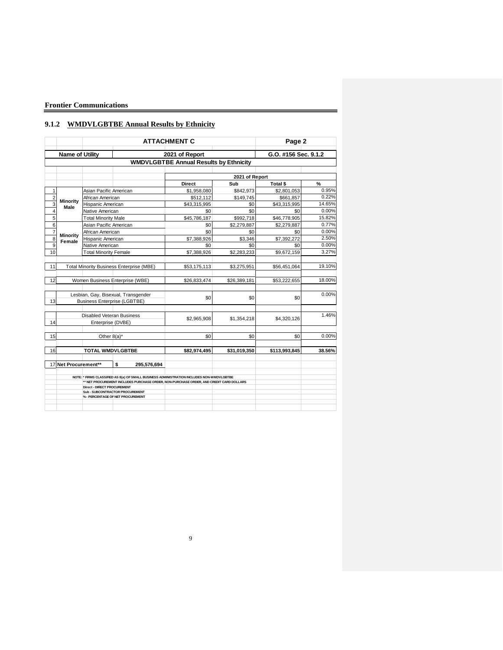# **9.1.2 WMDVLGBTBE Annual Results by Ethnicity**

|                |                           |                                    |                                                                                                                                                                                                                                                                     | <b>ATTACHMENT C</b>                           |                | Page 2               |        |
|----------------|---------------------------|------------------------------------|---------------------------------------------------------------------------------------------------------------------------------------------------------------------------------------------------------------------------------------------------------------------|-----------------------------------------------|----------------|----------------------|--------|
|                | <b>Name of Utility</b>    |                                    |                                                                                                                                                                                                                                                                     | 2021 of Report                                |                | G.O. #156 Sec. 9.1.2 |        |
|                |                           |                                    |                                                                                                                                                                                                                                                                     | <b>WMDVLGBTBE Annual Results by Ethnicity</b> |                |                      |        |
|                |                           |                                    |                                                                                                                                                                                                                                                                     |                                               | 2021 of Report |                      |        |
|                |                           |                                    |                                                                                                                                                                                                                                                                     | <b>Direct</b>                                 | Sub            | <b>Total \$</b>      | %      |
| $\mathbf{1}$   |                           | Asian Pacific American             |                                                                                                                                                                                                                                                                     | \$1,958,080                                   | \$842,973      | \$2,801,053          | 0.95%  |
| $\overline{2}$ |                           | African American                   |                                                                                                                                                                                                                                                                     | \$512,112                                     | \$149,745      | \$661,857            | 0.22%  |
| $\overline{3}$ | <b>Minority</b>           | Hispanic American                  |                                                                                                                                                                                                                                                                     | \$43,315,995                                  | \$0            | \$43,315,995         | 14.65% |
| $\overline{4}$ | Male                      | Native American                    |                                                                                                                                                                                                                                                                     | \$0                                           | \$0            | \$0                  | 0.00%  |
| 5              |                           | <b>Total Minority Male</b>         |                                                                                                                                                                                                                                                                     | \$45,786,187                                  | \$992,718      | \$46,778,905         | 15.82% |
| $\overline{6}$ |                           | Asian Pacific American             |                                                                                                                                                                                                                                                                     | \$0                                           | \$2,279,887    | \$2,279,887          | 0.77%  |
| $\overline{7}$ |                           | African American                   |                                                                                                                                                                                                                                                                     | \$0                                           | \$0            | \$0                  | 0.00%  |
| $\overline{8}$ | <b>Minority</b><br>Female | Hispanic American                  |                                                                                                                                                                                                                                                                     | \$7,388,926                                   | \$3,346        | \$7,392,272          | 2.50%  |
| $\overline{9}$ |                           | Native American                    |                                                                                                                                                                                                                                                                     | \$0                                           | \$0            | \$0                  | 0.00%  |
| 10             |                           | <b>Total Minority Female</b>       |                                                                                                                                                                                                                                                                     | \$7,388,926                                   | \$2,283,233    | \$9,672,159          | 3.27%  |
|                |                           |                                    |                                                                                                                                                                                                                                                                     |                                               |                |                      |        |
| 11             |                           |                                    | <b>Total Minority Business Enterprise (MBE)</b>                                                                                                                                                                                                                     | \$53,175,113                                  | \$3,275,951    | \$56,451,064         | 19.10% |
| 12             |                           |                                    | Women Business Enterprise (WBE)                                                                                                                                                                                                                                     | \$26,833,474                                  | \$26,389,181   | \$53,222,655         | 18.00% |
| 13             |                           |                                    | Lesbian, Gay, Bisexual, Transgender<br><b>Business Enterprise (LGBTBE)</b>                                                                                                                                                                                          | \$0                                           | \$0            | \$0                  | 0.00%  |
| 14             |                           | Enterprise (DVBE)                  | Disabled Veteran Business                                                                                                                                                                                                                                           | \$2,965,908                                   | \$1,354,218    | \$4,320,126          | 1.46%  |
| 15             |                           | Other $8(a)^*$                     |                                                                                                                                                                                                                                                                     | \$0                                           | \$0            | \$0                  | 0.00%  |
| 16             |                           |                                    | <b>TOTAL WMDVLGBTBE</b>                                                                                                                                                                                                                                             | \$82,974,495                                  | \$31,019,350   | \$113,993,845        | 38.56% |
|                | 17 Net Procurement**      |                                    | \$<br>295,576,694                                                                                                                                                                                                                                                   |                                               |                |                      |        |
|                |                           | <b>Direct - DIRECT PROCUREMENT</b> | NOTE: * FIRMS CLASSIFIED AS 8(a) OF SMALL BUSINESS ADMINISTRATION INCLUDES NON-WMDVLGBTBE<br>** NET PROCUREMENT INCLUDES PURCHASE ORDER, NON-PURCHASE ORDER, AND CREDIT CARD DOLLARS<br><b>Sub - SUBCONTRACTOR PROCUREMENT</b><br>% - PERCENTAGE OF NET PROCUREMENT |                                               |                |                      |        |
|                |                           |                                    |                                                                                                                                                                                                                                                                     |                                               |                |                      |        |

9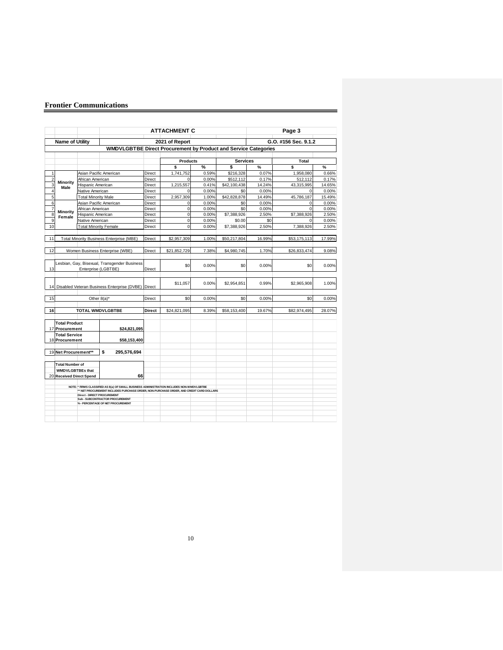|                |                                                   |                              |                                                                                                                                                                                     |               | <b>ATTACHMENT C</b> |       |                 |        | Page 3               |        |
|----------------|---------------------------------------------------|------------------------------|-------------------------------------------------------------------------------------------------------------------------------------------------------------------------------------|---------------|---------------------|-------|-----------------|--------|----------------------|--------|
|                | Name of Utility                                   |                              |                                                                                                                                                                                     |               | 2021 of Report      |       |                 |        | G.O. #156 Sec. 9.1.2 |        |
|                |                                                   |                              | WMDVLGBTBE Direct Procurement by Product and Service Categories                                                                                                                     |               |                     |       |                 |        |                      |        |
|                |                                                   |                              |                                                                                                                                                                                     |               | <b>Products</b>     |       | <b>Services</b> |        | <b>Total</b>         |        |
|                |                                                   |                              |                                                                                                                                                                                     |               | \$                  | %     | \$              | %      | \$                   | %      |
| 1              |                                                   | Asian Pacific American       |                                                                                                                                                                                     | Direct        | 1,741,752           | 0.59% | \$216,328       | 0.07%  | 1,958,080            | 0.66%  |
| $\overline{c}$ |                                                   | African American             |                                                                                                                                                                                     | <b>Direct</b> | $\Omega$            | 0.00% | \$512,112       | 0.17%  | 512,112              | 0.17%  |
| 3              | Minority<br>Male                                  | Hispanic American            |                                                                                                                                                                                     | <b>Direct</b> | 1,215,557           | 0.41% | \$42,100,438    | 14.24% | 43,315,995           | 14.65% |
| $\overline{4}$ |                                                   | Native American              |                                                                                                                                                                                     | Direct        | $\mathbf 0$         | 0.00% | \$0             | 0.00%  | $\Omega$             | 0.00%  |
| $\overline{5}$ |                                                   | <b>Total Minority Male</b>   |                                                                                                                                                                                     | Direct        | 2,957,309           | 1.00% | \$42,828,878    | 14.49% | 45.786.187           | 15.49% |
| 6              |                                                   | Asian Pacific American       |                                                                                                                                                                                     | <b>Direct</b> | $\pmb{0}$           | 0.00% | \$0             | 0.00%  | $\mathbf 0$          | 0.00%  |
| $\overline{7}$ | Minority                                          | African American             |                                                                                                                                                                                     | <b>Direct</b> | $\mathbf 0$         | 0.00% | \$0             | 0.00%  | $\Omega$             | 0.00%  |
| 8              | Female                                            | Hispanic American            |                                                                                                                                                                                     | Direct        | $\mathbf 0$         | 0.00% | \$7,388,926     | 2.50%  | \$7,388,926          | 2.50%  |
| 9              |                                                   | Native American              |                                                                                                                                                                                     | Direct        | $\mathbf 0$         | 0.00% | \$0.00          | \$0    | $\Omega$             | 0.00%  |
| 10             |                                                   | <b>Total Minority Female</b> |                                                                                                                                                                                     | Direct        | $\mathbf 0$         | 0.00% | \$7,388,926     | 2.50%  | 7,388,926            | 2.50%  |
| 11             |                                                   |                              | <b>Total Minority Business Enterprise (MBE)</b>                                                                                                                                     | Direct        | \$2,957,309         | 1.00% | \$50,217,804    | 16.99% | \$53,175,113         | 17.99% |
| 12             |                                                   |                              | Women Business Enterprise (WBE)                                                                                                                                                     | <b>Direct</b> | \$21,852,729        | 7.38% | \$4,980,745     | 1.70%  | \$26,833,474         | 9.08%  |
| 13             |                                                   | Enterprise (LGBTBE)          | Lesbian, Gay, Bisexual, Transgender Business                                                                                                                                        | Direct        | \$0                 | 0.00% | \$0             | 0.00%  | \$0                  | 0.00%  |
|                |                                                   |                              | 14 Disabled Veteran Business Enterprise (DVBE) Direct                                                                                                                               |               | \$11,057            | 0.00% | \$2,954,851     | 0.99%  | \$2,965,908          | 1.00%  |
| 15             |                                                   | Other $8(a)^*$               |                                                                                                                                                                                     | Direct        | \$0                 | 0.00% | \$0             | 0.00%  | \$0                  | 0.00%  |
| 16             |                                                   |                              | <b>TOTAL WMDVLGBTBE</b>                                                                                                                                                             | <b>Direct</b> | \$24.821.095        | 8.39% | \$58,153,400    | 19.67% | \$82.974.495         | 28.07% |
|                |                                                   |                              |                                                                                                                                                                                     |               |                     |       |                 |        |                      |        |
|                | <b>Total Product</b><br>17 Procurement            |                              | \$24,821,095                                                                                                                                                                        |               |                     |       |                 |        |                      |        |
|                | <b>Total Service</b>                              |                              |                                                                                                                                                                                     |               |                     |       |                 |        |                      |        |
|                | 18 Procurement                                    |                              | \$58,153,400                                                                                                                                                                        |               |                     |       |                 |        |                      |        |
|                | 19 Net Procurement**                              |                              | \$<br>295,576,694                                                                                                                                                                   |               |                     |       |                 |        |                      |        |
|                | <b>Total Number of</b><br><b>WMDVLGBTBEs that</b> |                              |                                                                                                                                                                                     |               |                     |       |                 |        |                      |        |
|                | 20 Received Direct Spend                          |                              | 66                                                                                                                                                                                  |               |                     |       |                 |        |                      |        |
|                |                                                   | Direct - DIRECT PROCUREMENT  | NOTE * FIRMS CLASSIFIED AS 8(a) OF SMALL BUSINESS ADMINISTRATION INCLUDES NON-WMDVLGBTBE<br>** NET PROCUREMENT INCLUDES PURCHASE ORDER, NON-PURCHASE ORDER, AND CREDIT CARD DOLLARS |               |                     |       |                 |        |                      |        |
|                |                                                   |                              | Sub - SUBCONTRACTOR PROCUREMENT<br>% - PERCENTAGE OF NET PROCUREMENT                                                                                                                |               |                     |       |                 |        |                      |        |
|                |                                                   |                              |                                                                                                                                                                                     |               |                     |       |                 |        |                      |        |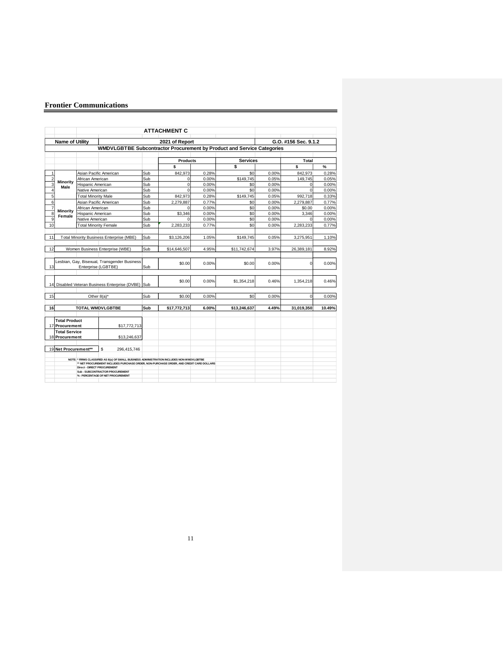|                |                        |                                    |                                                                                            |     | <b>ATTACHMENT C</b>  |       |                 |       |                      |        |
|----------------|------------------------|------------------------------------|--------------------------------------------------------------------------------------------|-----|----------------------|-------|-----------------|-------|----------------------|--------|
|                | <b>Name of Utility</b> |                                    |                                                                                            |     | 2021 of Report       |       |                 |       | G.O. #156 Sec. 9.1.2 |        |
|                |                        |                                    | WMDVLGBTBE Subcontractor Procurement by Product and Service Categories                     |     |                      |       |                 |       |                      |        |
|                |                        |                                    |                                                                                            |     |                      |       | <b>Services</b> |       |                      |        |
|                |                        |                                    |                                                                                            |     | <b>Products</b><br>Ś |       | \$              |       | <b>Total</b><br>\$   | %      |
| 1              |                        |                                    | Asian Pacific American                                                                     | Sub | 842.973              | 0.28% | \$0             | 0.00% | 842,973              | 0.28%  |
| $\overline{c}$ |                        | African American                   |                                                                                            | Sub | $\mathbf 0$          | 0.00% | \$149,745       | 0.05% | 149,745              | 0.05%  |
| 3              | <b>Minority</b>        | Hispanic American                  |                                                                                            | Sub | $\mathbf 0$          | 0.00% | \$0             | 0.00% | $\Omega$             | 0.00%  |
| $\overline{4}$ | Male                   | Native American                    |                                                                                            | Sub | $\Omega$             | 0.00% | \$0             | 0.00% | $\Omega$             | 0.00%  |
| 5              |                        | <b>Total Minority Male</b>         |                                                                                            | Sub | 842.973              | 0.28% | \$149,745       | 0.05% | 992.718              | 0.33%  |
| 6              |                        |                                    | Asian Pacific American                                                                     | Sub | 2.279.887            | 0.77% | \$0             | 0.00% | 2,279,887            | 0.77%  |
| $\overline{7}$ |                        | African American                   |                                                                                            | Sub | $\Omega$             | 0.00% | \$0             | 0.00% | \$0.00               | 0.00%  |
| 8              | <b>Minority</b>        | Hispanic American                  |                                                                                            | Sub | \$3,346              | 0.00% | \$0             | 0.00% | 3.346                | 0.00%  |
| $\overline{9}$ | Female                 | Native American                    |                                                                                            | Sub | $\Omega$             | 0.00% | \$0             | 0.00% | $\Omega$             | 0.00%  |
| 10             |                        |                                    | <b>Total Minority Female</b>                                                               | Sub | 2.283.233            | 0.77% | \$0             | 0.00% | 2.283.233            | 0.77%  |
|                |                        |                                    |                                                                                            |     |                      |       |                 |       |                      |        |
| 11             |                        |                                    | <b>Total Minority Business Enterprise (MBE)</b>                                            | Sub | \$3,126,206          | 1.05% | \$149,745       | 0.05% | 3,275,951            | 1.10%  |
|                |                        |                                    |                                                                                            |     |                      |       |                 |       |                      |        |
| 12             |                        |                                    | Women Business Enterprise (WBE)                                                            | Sub | \$14,646,507         | 4.95% | \$11,742,674    | 3.97% | 26,389,181           | 8.92%  |
|                |                        |                                    |                                                                                            |     |                      |       |                 |       |                      |        |
|                |                        |                                    | Lesbian, Gay, Bisexual, Transgender Business                                               |     | \$0.00               | 0.00% | \$0.00          | 0.00% | $\Omega$             | 0.00%  |
| 13             |                        |                                    | Enterprise (LGBTBE)                                                                        | Sub |                      |       |                 |       |                      |        |
|                |                        |                                    |                                                                                            |     |                      |       |                 |       |                      |        |
|                |                        |                                    |                                                                                            |     | \$0.00               | 0.00% | \$1,354,218     | 0.46% | 1,354,218            | 0.46%  |
|                |                        |                                    | 14 Disabled Veteran Business Enterprise (DVBE) Sub                                         |     |                      |       |                 |       |                      |        |
|                |                        |                                    |                                                                                            |     |                      |       |                 |       |                      |        |
| 15             |                        |                                    | Other 8(a)*                                                                                | Sub | \$0.00               | 0.00% | \$0             | 0.00% | $\Omega$             | 0.00%  |
|                |                        |                                    |                                                                                            |     |                      |       |                 |       |                      |        |
| 16             |                        |                                    | <b>TOTAL WMDVLGBTBE</b>                                                                    | Sub | \$17,772,713         | 6.00% | \$13,246,637    | 4.49% | 31,019,350           | 10.49% |
|                |                        |                                    |                                                                                            |     |                      |       |                 |       |                      |        |
|                | <b>Total Product</b>   |                                    |                                                                                            |     |                      |       |                 |       |                      |        |
|                | 17 Procurement         |                                    | \$17,772,713                                                                               |     |                      |       |                 |       |                      |        |
|                | <b>Total Service</b>   |                                    |                                                                                            |     |                      |       |                 |       |                      |        |
|                | 18 Procurement         |                                    | \$13,246,637                                                                               |     |                      |       |                 |       |                      |        |
|                | 19 Net Procurement**   |                                    | S<br>296,415,746                                                                           |     |                      |       |                 |       |                      |        |
|                |                        |                                    |                                                                                            |     |                      |       |                 |       |                      |        |
|                |                        |                                    | NOTE: * FIRMS CLASSIFIED AS 8(a) OF SMALL BUSINESS ADMINISTRATION INCLUDES NON-WIMDVLGBTBE |     |                      |       |                 |       |                      |        |
|                |                        |                                    | ** NET PROCUREMENT INCLUDES PURCHASE ORDER, NON-PURCHASE ORDER, AND CREDIT CARD DOLLARS    |     |                      |       |                 |       |                      |        |
|                |                        | <b>Direct - DIRECT PROCUREMENT</b> | <b>Sub - SUBCONTRACTOR PROCUREMENT</b>                                                     |     |                      |       |                 |       |                      |        |
|                |                        |                                    | % - PERCENTAGE OF NET PROCUREMENT                                                          |     |                      |       |                 |       |                      |        |
|                |                        |                                    |                                                                                            |     |                      |       |                 |       |                      |        |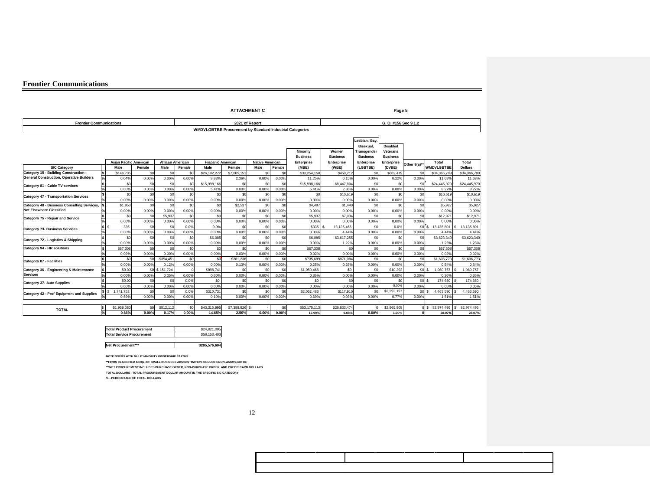|                                                 |                           |                               |              |                         |              |                                                          |                    | <b>ATTACHMENT C</b>            |              |                     |                     |                        | Page 5                      |              |                      |                      |
|-------------------------------------------------|---------------------------|-------------------------------|--------------|-------------------------|--------------|----------------------------------------------------------|--------------------|--------------------------------|--------------|---------------------|---------------------|------------------------|-----------------------------|--------------|----------------------|----------------------|
| <b>Frontier Communications</b>                  |                           |                               |              |                         |              |                                                          |                    | 2021 of Report                 |              |                     |                     |                        | G. O. #156 Sec 9.1.2        |              |                      |                      |
|                                                 |                           |                               |              |                         |              | WMDVLGBTBE Procurement by Standard Industrial Categories |                    |                                |              |                     |                     |                        |                             |              |                      |                      |
|                                                 |                           |                               |              |                         |              |                                                          |                    |                                |              |                     |                     |                        |                             |              |                      |                      |
|                                                 |                           |                               |              |                         |              |                                                          |                    |                                |              |                     |                     | Lesbian, Gay,          |                             |              |                      |                      |
|                                                 |                           |                               |              |                         |              |                                                          |                    |                                |              |                     |                     | <b>Bisexual</b>        | <b>Disabled</b>             |              |                      |                      |
|                                                 |                           |                               |              |                         |              |                                                          |                    |                                |              | <b>Minority</b>     | Women               | Transgender            | <b>Veterans</b>             |              |                      |                      |
|                                                 |                           | <b>Asian Pacific American</b> |              | <b>African American</b> |              |                                                          |                    |                                |              | <b>Business</b>     | <b>Business</b>     | <b>Business</b>        | <b>Business</b>             |              | Total                | Total                |
| <b>SIC Category</b>                             |                           | Male                          | Female       | Male                    | Female       | <b>Hispanic American</b><br>Male                         | Female             | <b>Native American</b><br>Male | Female       | Enterprise<br>(MBE) | Enterprise<br>(WBE) | Enterprise<br>(LGBTBE) | <b>Enterprise</b><br>(DVBE) | Other 8(a)*  | <b>WMDVLGBTBE</b>    | <b>Dollars</b>       |
| Category 15 - Building Construction -           |                           | \$146,735                     | \$0          | \$0                     | \$0          | \$26,102,272                                             | \$7,005,151        | \$0                            | \$0          | \$33,254,158        | \$450,212           | \$0                    | \$662,419                   | \$0          | \$34,366,789         | \$34,366,789         |
| <b>General Construction, Operative Builders</b> | $\frac{1}{2}$             | 0.04%                         | 0.00%        | 0.00%                   | 0.00%        | 8.83%                                                    | 2.36%              | 0.00%                          | 0.00%        | 11.25%              | 0.15%               | 0.00%                  | 0.22%                       | 0.00%        | 11.63%               | 11.63%               |
|                                                 |                           | \$0                           | \$0          | \$0                     | \$0          | \$15,998,166                                             | \$0                | \$0                            | \$0          | \$15,998,166        | \$8,447,804         | \$0                    | \$0                         | \$0          | \$24,445,970         | \$24,445,970         |
| Category 81 - Cable TV services                 |                           | 0.00%                         | 0.00%        | 0.00%                   | 0.00%        | 5.41%                                                    | 0.00%              | 0.00%                          | 0.00%        | 5.41%               | 2.86%               | 0.00%                  | 0.00%                       | 0.00%        | 8.27%                | 8.27%                |
| <b>Category 47 - Transportation Services</b>    |                           | \$0                           | \$0          | \$0                     | \$0          | \$0                                                      | \$0                | \$0                            | \$0          | \$0                 | \$10,619            | \$0                    | \$0                         | \$0          | \$10.619             | \$10,619             |
|                                                 |                           | 0.00%                         | 0.00%        | 0.00%                   | 0.00%        | 0.00%                                                    | 0.00%              | 0.00%                          | 0.00%        | 0.00%               | 0.00%               | 0.00%                  | 0.00%                       | 0.00%        | 0.00%                | 0.00%                |
| Category 48 - Business Consulting Services, \$  |                           | \$1,950                       | \$0          | \$0                     | \$0          | \$0                                                      | \$2,537            | \$0                            | \$0          | \$4,487             | \$1,440             | \$0                    | \$0                         | \$0          | \$5,927              | \$5,927              |
| Not Elsewhere Classified                        |                           | 0.00%                         | 0.00%        | 0.00%                   | 0.00%        | 0.00%                                                    | 0.00%              | 0.00%                          | 0.00%        | 0.00%               | 0.00%               | 0.00%                  | 0.00%                       | 0.00%        | 0.00%                | 0.00%                |
| Category 75 - Repair and Service                |                           | \$0                           | SO           | \$5,937                 | \$0          | \$0                                                      | \$0                | \$0                            | \$0          | \$5,937             | \$7,034             | \$0                    | \$0                         | \$0          | \$12,971             | \$12,97              |
|                                                 |                           | 0.00%                         | 0.00%        | 0.00%                   | 0.00%        | 0.00%                                                    | 0.00%              | 0.00%                          | 0.00%        | 0.00%               | 0.00%               | 0.00%                  | 0.00%                       | 0.00%        | 0.00%                | 0.00%                |
| <b>Category 73- Business Services</b>           | $s$ s                     | 335                           | \$0          | \$0                     | 0.0%         | 0.0%                                                     | \$0                | \$0                            | \$0          | \$335               | 13,135,466          | \$0                    | 0.0%                        |              | \$0 \$ 13,135,801    | 13,135,801<br>s      |
|                                                 |                           | 0.00%                         | 0.00%        | 0.00%                   | 0.00%        | 0.00%                                                    | 0.00%              | 0.00%                          | 0.00%        | 0.00%               | 4.44%               | 0.00%                  | 0.00%                       | 0.00%        | 4.44%                | 4.44%                |
| Category 72 - Logistics & Shipping              | İs                        | \$0                           | \$0          | \$0                     | \$0          | \$6,085                                                  | \$0                | \$0                            | \$0          | \$6,085             | \$3.617.255         | \$0                    | \$0                         | \$0          | \$3,623,340          | \$3,623,340          |
|                                                 |                           | 0.00%                         | 0.00%        | 0.00%                   | 0.00%        | 0.00%                                                    | 0.00%              | 0.00%                          | 0.00%        | 0.00%               | 1.22%               | 0.00%                  | 0.00%                       | 0.00%        | 1.23%                | 1.23%                |
| Category 94 - HR solutions                      | ls                        | \$67,308                      | \$0<br>0.00% | \$0<br>0.00%            | \$0          | \$0                                                      | \$0                | \$0                            | \$0          | \$67,308            | \$0<br>0.00%        | \$0                    | \$0                         | \$0          | \$67,308             | \$67,308             |
|                                                 |                           | 0.02%<br>\$0                  | SO           | \$354.451               | 0.00%<br>\$0 | 0.00%<br>\$0                                             | 0.00%<br>\$381,238 | 0.00%<br>\$0                   | 0.00%<br>\$0 | 0.02%<br>\$735,689  | \$871,084           | 0.00%<br>\$0           | 0.00%<br>\$0                | 0.00%<br>\$0 | 0.02%<br>\$1,606,773 | 0.02%<br>\$1,606,773 |
| <b>Category 87 - Facilities</b>                 |                           | 0.00%                         | 0.00%        | 0.12%                   | 0.00%        | 0.00%                                                    | 0.13%              | 0.00%                          | 0.00%        | 0.25%               | 0.29%               | 0.00%                  | 0.00%                       | 0.00%        | 0.54%                | 0.54%                |
| Category 36 - Engineering & Maintenance         |                           | \$0.00                        |              | \$0 \$151,724           |              | \$898,741                                                | \$0                | \$0                            | \$0          | \$1,050,465         | \$0                 | \$0                    | \$10.292                    | sols         | 1.060.757            | 1.060.757<br>١s      |
| <b>Services</b>                                 |                           | 0.00%                         | 0.00%        | 0.05%                   | 0.00%        | 0.30%                                                    | 0.00%              | 0.00%                          | 0.00%        | 0.36%               | 0.00%               | 0.00%                  | 0.00%                       | 0.00%        | 0.36%                | 0.36%                |
|                                                 |                           | \$0.00                        | \$0          | \$0                     | 0.0%         | \$0                                                      | \$0                | \$0                            | \$0          | \$0                 | \$0                 | \$0                    | \$0                         | sol s        | 174,650 S            | 174,650              |
| Category 37- Auto Supplies                      |                           | 0.00%                         | 0.00%        | 0.00%                   | 0.00%        | 0.00%                                                    | 0.00%              | 0.00%                          | 0.00%        | 0.00%               | 0.00%               | 0.00%                  | 0.00%                       | 0.00%        | 0.05%                | 0.05%                |
| Category 42 - Prof Equipment and Supplies       | $s$ $s$                   | ,741,752                      | \$0          | \$0                     | 0.0%         | \$310,731                                                | \$0                | \$0                            | \$0          | \$2,052,483         | \$117,910           | \$0                    | \$2,293,197                 | $$0\,$ s     | 4.463.590            | 4.463.590            |
|                                                 |                           | 0.59%                         | 0.00%        | 0.00%                   | 0.00%        | 0.10%                                                    | 0.00%              | 0.00%                          | 0.00%        | 0.69%               | 0.03%               | 0.00%                  | 0.77%                       | 0.00%        | 1.51%                | 1.51%                |
|                                                 |                           |                               |              |                         |              |                                                          |                    |                                |              |                     |                     |                        |                             |              |                      |                      |
| <b>TOTAL</b>                                    | l\$                       | \$1,958,080                   | \$0          | \$512,112               | \$0          | \$43,315,995                                             | \$7,388,926 \$     |                                | \$0          | \$53,175,113        | \$26,833,474        | $\Omega$               | \$2,965,908                 |              | 0 \$ 82,974,495      | 82.974.495<br>.s     |
|                                                 | $\mathsf{P}_{\mathsf{A}}$ | 0.66%                         | 0.00%        | 0.17%                   | 0.00%        | 14.65%                                                   | 2.50%              | 0.00%                          | $0.00\%$     | 17.99%              | 9.08%               | 0.00%                  | 1.00%                       | $\Omega$     | 28.07%               | 28.07%               |

| <b>Total Product Procurement</b> | \$24,821,095  |
|----------------------------------|---------------|
| <b>Total Service Procurement</b> | \$58,153,400  |
|                                  |               |
| Net Procurement***               | \$295,576,694 |

**NOTE:\*FIRMS WITH MULIT MINORITY OWNERSHIP STATUS**

**\*\*FIRMS CLASSIFIED AS 8(a) OF SMALL BUSINESS ADMINISTRATION INCLUDES NON-WMDVLGBTBE**

**\*\*\*NET PROCUREMENT INCLUDES PURCHASE ORDER, NON-PURCHASE ORDER, AND CREDIT CARD DOLLARS**

**TOTAL DOLLARS - TOTAL PROCUREMENT DOLLAR AMOUNT IN THE SPECIFIC SIC CATEGORY** 

**% - PERCENTAGE OF TOTAL DOLLARS**

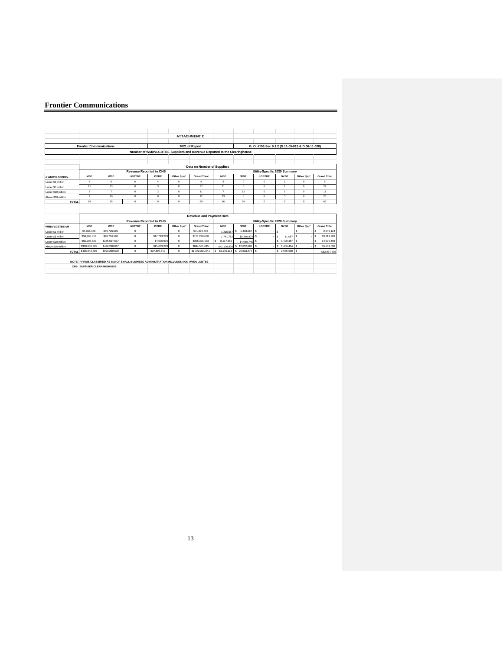|                      |                                |                 |                                                                                           |                |             | <b>ATTACHMENT C</b>                                                      |                |                |                                                  |                |              |                    |
|----------------------|--------------------------------|-----------------|-------------------------------------------------------------------------------------------|----------------|-------------|--------------------------------------------------------------------------|----------------|----------------|--------------------------------------------------|----------------|--------------|--------------------|
|                      | <b>Frontier Communications</b> |                 |                                                                                           |                |             | 2021 of Report                                                           |                |                | G. O. #156 Sec 9.1.2 (D.11-05-019 & D.06-11-028) |                |              |                    |
|                      |                                |                 |                                                                                           |                |             | Number of WMDVLGBTBE Suppliers and Revenue Reported to the Clearinghouse |                |                |                                                  |                |              |                    |
|                      |                                |                 |                                                                                           |                |             |                                                                          |                |                |                                                  |                |              |                    |
|                      |                                |                 |                                                                                           |                |             |                                                                          |                |                |                                                  |                |              |                    |
|                      |                                |                 |                                                                                           |                |             | Data on Number of Suppliers                                              |                |                |                                                  |                |              |                    |
|                      |                                |                 | <b>Revenue Reported to CHS</b>                                                            |                |             |                                                                          |                |                | Utility-Specific 2020 Summary                    |                |              |                    |
| # WMDVLGRTREs        | <b>MRF</b>                     | <b>WRF</b>      | LGRTRE                                                                                    | <b>DVRF</b>    | Other 8(a)* | <b>Grand Total</b>                                                       | <b>MRF</b>     | WRF            | <b>LGRTRF</b>                                    | <b>DVRF</b>    | Other 8(a)*  | <b>Grand Total</b> |
| Under \$1 million    | 5                              | $\Omega$        | $\Omega$                                                                                  | $\mathbf{d}$   | $\Omega$    | 9                                                                        | 5              | $\Omega$       | $\Omega$                                         | 1              | $\Omega$     | 6                  |
| Under \$5 million    | 11                             | 23              | $^{\circ}$                                                                                | 3              | $^{\circ}$  | 37                                                                       | 11             | 6              | $^{\circ}$                                       | 1              | $^{\circ}$   | 27                 |
| Under \$10 million   | $\overline{2}$                 | $\overline{7}$  | $\Omega$                                                                                  | $\overline{2}$ | $^{\circ}$  | 11                                                                       | $\overline{7}$ | 12             | $\circ$                                          | $\overline{1}$ | $^{\circ}$   | 11                 |
| Above \$10 million   | $\overline{2}$                 | 10 <sub>1</sub> | $\Omega$                                                                                  | $\Omega$       | $\Omega$    | 12                                                                       | 13             | $\mathbf{R}$   | $\Omega$                                         | 5.             | $\Omega$     | 23                 |
| <b>TOTAL</b>         | 26                             | 76              | $\Omega$                                                                                  | 24             | $\circ$     | 69                                                                       | 16             | 26             | $^{\circ}$                                       | $\mathbf{Q}$   | $\Omega$     | 66                 |
|                      |                                |                 |                                                                                           |                |             |                                                                          |                |                |                                                  |                |              |                    |
|                      |                                |                 |                                                                                           |                |             |                                                                          |                |                |                                                  |                |              |                    |
|                      |                                |                 |                                                                                           |                |             | <b>Revenue and Payment Data</b>                                          |                |                |                                                  |                |              |                    |
|                      |                                |                 | <b>Revenue Reported to CHS</b>                                                            |                |             |                                                                          |                |                | Utility-Specific 2020 Summary                    |                |              |                    |
| <b>WMDVLGBTBE SM</b> | <b>MRF</b>                     | WRF             | LGRTRE                                                                                    | <b>DVRF</b>    | Other 8(a)* | <b>Grand Total</b>                                                       | <b>MRF</b>     | WRF            | <b>LGRTRF</b>                                    | <b>DVRF</b>    | Other 8(a)*  | <b>Grand Total</b> |
| Under \$1 million    | \$4,368,188                    | \$66,726,505    | $\Omega$                                                                                  |                | $\Omega$    | \$71,094,693                                                             | 1.215.557      | 1.433.567<br>s | $\mathbf{s}$                                     | ¢              | s            | s.<br>2.649.124    |
| Under \$5 million    | \$34,768,817                   | \$98,716,500    | $\Omega$                                                                                  | \$17,793,283   | $^{\circ}$  | \$151,278,600                                                            | 1.741.752      | \$8,366,474    | s                                                | 11.057<br>l s. | s            | s<br>10.119.283    |
| Under \$10 million   | \$65,297,620                   | \$235,527,537   | $\Omega$                                                                                  | \$4,500.976    | $\Omega$    | \$305.326.133                                                            | s<br>8.117.366 | \$4,980,745    |                                                  | s<br>1.498.387 | $\mathbf{s}$ | s<br>14.596.498    |
| Above \$10 million   | \$330,608.265                  | \$498,290.067   | $^{\circ}$                                                                                | \$15,603,283   | $\circ$     | \$844,501,615                                                            | \$42,100,438   |                |                                                  | \$1.456.464    | l s          | s<br>55,609,590    |
| <b>TOTAL</b>         | \$435,042,890                  | \$899,260,609   | $\Omega$                                                                                  | \$37,897.542   | $\circ$     | \$1,372,201.041                                                          | \$ 53,175,113  | \$26,833,474   | s                                                | \$2.965,908    | s            | \$82.974.495       |
|                      |                                |                 |                                                                                           |                |             |                                                                          |                |                |                                                  |                |              |                    |
|                      |                                |                 | NOTE: * FIRMS CLASSIFIED AS 8(a) OF SMALL BUSINESS ADMINISTRATION INCLUDES NON-WMDVLGBTBE |                |             |                                                                          |                |                |                                                  |                |              |                    |
|                      | CHS: SUPPLIER CLEARINGHOUSE    |                 |                                                                                           |                |             |                                                                          |                |                |                                                  |                |              |                    |
|                      |                                |                 |                                                                                           |                |             |                                                                          |                |                |                                                  |                |              |                    |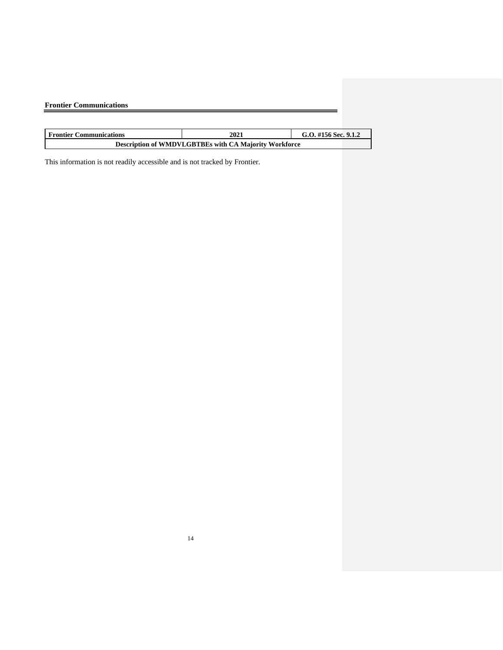| <b>Frontier Communications</b> |      |                        |
|--------------------------------|------|------------------------|
|                                |      |                        |
| <b>Frontier Communications</b> | 2021 | G.O. #156 Sec. $9.1.2$ |

|--|

This information is not readily accessible and is not tracked by Frontier.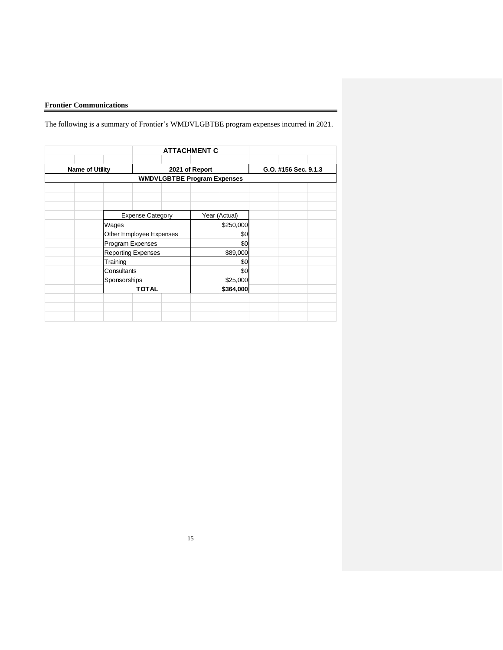The following is a summary of Frontier's WMDVLGBTBE program expenses incurred in 2021.

|                           |  | <b>ATTACHMENT C</b>                |                      |  |  |  |
|---------------------------|--|------------------------------------|----------------------|--|--|--|
| <b>Name of Utility</b>    |  | 2021 of Report                     | G.O. #156 Sec. 9.1.3 |  |  |  |
|                           |  | <b>WMDVLGBTBE Program Expenses</b> |                      |  |  |  |
|                           |  |                                    |                      |  |  |  |
|                           |  |                                    |                      |  |  |  |
| <b>Expense Category</b>   |  | Year (Actual)                      |                      |  |  |  |
| Wages                     |  | \$250,000                          |                      |  |  |  |
| Other Employee Expenses   |  | \$0<br>\$0                         |                      |  |  |  |
| Program Expenses          |  |                                    |                      |  |  |  |
| <b>Reporting Expenses</b> |  | \$89,000                           |                      |  |  |  |
| Training                  |  | \$0                                |                      |  |  |  |
| Consultants               |  | \$0                                |                      |  |  |  |
| Sponsorships              |  | \$25,000                           |                      |  |  |  |
| <b>TOTAL</b>              |  | \$364,000                          |                      |  |  |  |
|                           |  |                                    |                      |  |  |  |
|                           |  |                                    |                      |  |  |  |
|                           |  |                                    |                      |  |  |  |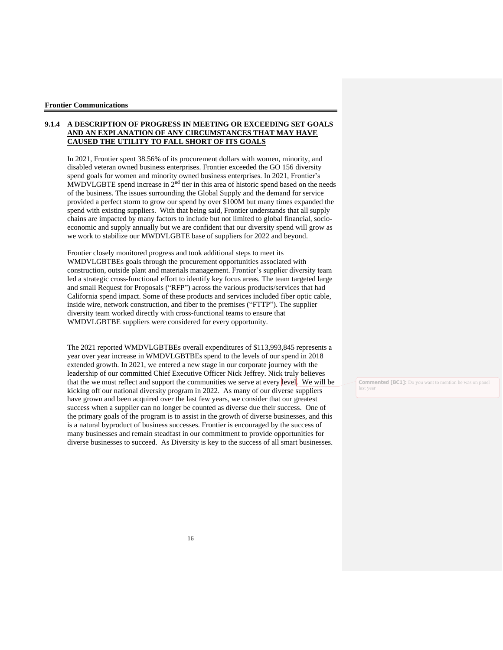#### **9.1.4 A DESCRIPTION OF PROGRESS IN MEETING OR EXCEEDING SET GOALS AND AN EXPLANATION OF ANY CIRCUMSTANCES THAT MAY HAVE CAUSED THE UTILITY TO FALL SHORT OF ITS GOALS**

In 2021, Frontier spent 38.56% of its procurement dollars with women, minority, and disabled veteran owned business enterprises. Frontier exceeded the GO 156 diversity spend goals for women and minority owned business enterprises. In 2021, Frontier's  $\widehat{MWDVLGBTE}$  spend increase in  $2^{nd}$  tier in this area of historic spend based on the needs of the business. The issues surrounding the Global Supply and the demand for service provided a perfect storm to grow our spend by over \$100M but many times expanded the spend with existing suppliers. With that being said, Frontier understands that all supply chains are impacted by many factors to include but not limited to global financial, socioeconomic and supply annually but we are confident that our diversity spend will grow as we work to stabilize our MWDVLGBTE base of suppliers for 2022 and beyond.

Frontier closely monitored progress and took additional steps to meet its WMDVLGBTBEs goals through the procurement opportunities associated with construction, outside plant and materials management. Frontier's supplier diversity team led a strategic cross-functional effort to identify key focus areas. The team targeted large and small Request for Proposals ("RFP") across the various products/services that had California spend impact. Some of these products and services included fiber optic cable, inside wire, network construction, and fiber to the premises ("FTTP"). The supplier diversity team worked directly with cross-functional teams to ensure that WMDVLGBTBE suppliers were considered for every opportunity.

The 2021 reported WMDVLGBTBEs overall expenditures of \$113,993,845 represents a year over year increase in WMDVLGBTBEs spend to the levels of our spend in 2018 extended growth. In 2021, we entered a new stage in our corporate journey with the leadership of our committed Chief Executive Officer Nick Jeffrey. Nick truly believes that the we must reflect and support the communities we serve at every level. We will be kicking off our national diversity program in 2022. As many of our diverse suppliers have grown and been acquired over the last few years, we consider that our greatest success when a supplier can no longer be counted as diverse due their success. One of the primary goals of the program is to assist in the growth of diverse businesses, and this is a natural byproduct of business successes. Frontier is encouraged by the success of many businesses and remain steadfast in our commitment to provide opportunities for diverse businesses to succeed. As Diversity is key to the success of all smart businesses.

**Commented [BC1]:** Do you want to mention he was on panel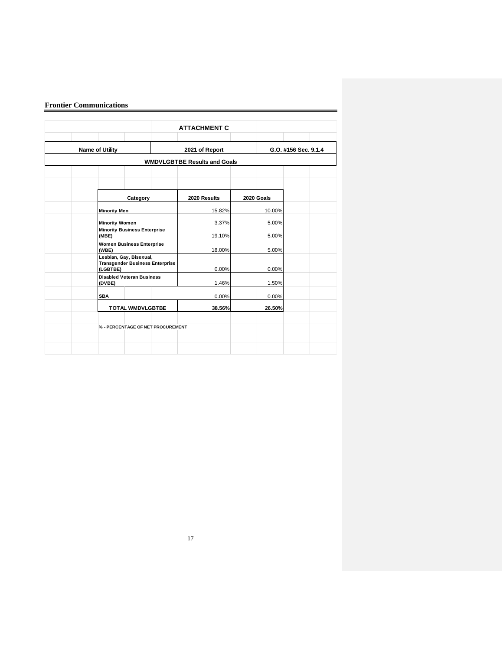|                                                                               |  | <b>ATTACHMENT C</b>                 |            |                      |  |  |  |
|-------------------------------------------------------------------------------|--|-------------------------------------|------------|----------------------|--|--|--|
| <b>Name of Utility</b>                                                        |  | 2021 of Report                      |            | G.O. #156 Sec. 9.1.4 |  |  |  |
|                                                                               |  | <b>WMDVLGBTBE Results and Goals</b> |            |                      |  |  |  |
|                                                                               |  |                                     |            |                      |  |  |  |
| Category                                                                      |  | 2020 Results                        | 2020 Goals |                      |  |  |  |
| <b>Minority Men</b>                                                           |  | 15.82%                              | 10.00%     |                      |  |  |  |
| <b>Minority Women</b>                                                         |  | 3.37%                               | 5.00%      |                      |  |  |  |
| <b>Minority Business Enterprise</b><br>(MBE)                                  |  | 19.10%                              | 5.00%      |                      |  |  |  |
| <b>Women Business Enterprise</b><br>(WBE)                                     |  | 18.00%                              | 5.00%      |                      |  |  |  |
| Lesbian, Gay, Bisexual,<br><b>Transgender Business Enterprise</b><br>(LGBTBE) |  | 0.00%                               | 0.00%      |                      |  |  |  |
| <b>Disabled Veteran Business</b><br>(DVBE)                                    |  | 1.46%                               | 1.50%      |                      |  |  |  |
| <b>SBA</b>                                                                    |  | 0.00%                               | 0.00%      |                      |  |  |  |
| TOTAL WMDVLGBTBE                                                              |  | 38.56%                              | 26.50%     |                      |  |  |  |
| % - PERCENTAGE OF NET PROCUREMENT                                             |  |                                     |            |                      |  |  |  |
|                                                                               |  |                                     |            |                      |  |  |  |
|                                                                               |  |                                     |            |                      |  |  |  |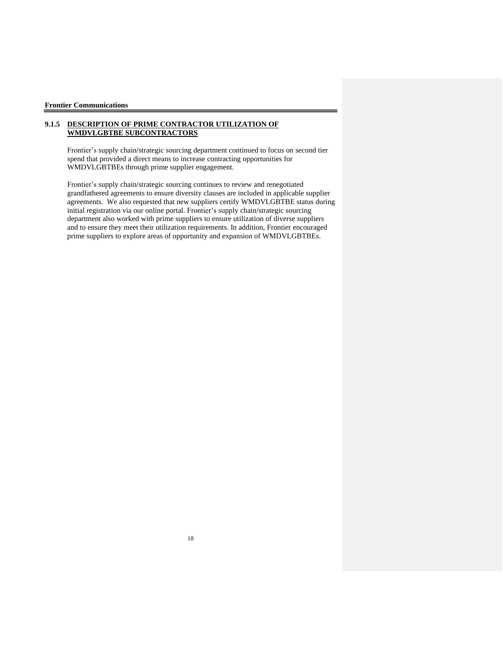#### **9.1.5 DESCRIPTION OF PRIME CONTRACTOR UTILIZATION OF WMDVLGBTBE SUBCONTRACTORS**

Frontier's supply chain/strategic sourcing department continued to focus on second tier spend that provided a direct means to increase contracting opportunities for WMDVLGBTBEs through prime supplier engagement.

Frontier's supply chain/strategic sourcing continues to review and renegotiated grandfathered agreements to ensure diversity clauses are included in applicable supplier agreements. We also requested that new suppliers certify WMDVLGBTBE status during initial registration via our online portal. Frontier's supply chain/strategic sourcing department also worked with prime suppliers to ensure utilization of diverse suppliers and to ensure they meet their utilization requirements. In addition, Frontier encouraged prime suppliers to explore areas of opportunity and expansion of WMDVLGBTBEs.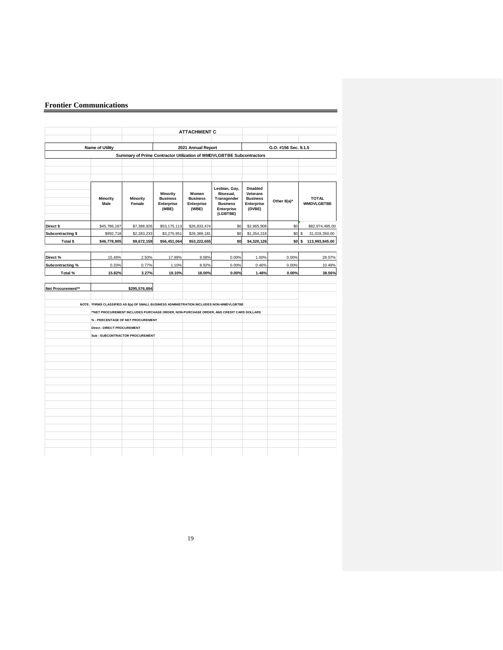|                        |                                                                                                                                                                                    |                                                                      |                                                    | <b>ATTACHMENT C</b>                             |                                                                                        |                                                                        |                  |                                   |
|------------------------|------------------------------------------------------------------------------------------------------------------------------------------------------------------------------------|----------------------------------------------------------------------|----------------------------------------------------|-------------------------------------------------|----------------------------------------------------------------------------------------|------------------------------------------------------------------------|------------------|-----------------------------------|
| <b>Name of Utility</b> |                                                                                                                                                                                    | 2021 Annual Report                                                   |                                                    |                                                 | G.O. #156 Sec. 9.1.5                                                                   |                                                                        |                  |                                   |
|                        |                                                                                                                                                                                    | Summary of Prime Contractor Utilization of WMDVLGBTBE Subcontractors |                                                    |                                                 |                                                                                        |                                                                        |                  |                                   |
|                        |                                                                                                                                                                                    |                                                                      |                                                    |                                                 |                                                                                        |                                                                        |                  |                                   |
|                        |                                                                                                                                                                                    |                                                                      |                                                    |                                                 |                                                                                        |                                                                        |                  |                                   |
|                        | <b>Minority</b><br>Male                                                                                                                                                            | <b>Minority</b><br>Female                                            | Minority<br><b>Business</b><br>Enterprise<br>(MBE) | Women<br><b>Business</b><br>Enterprise<br>(WBE) | Lesbian, Gay,<br>Bisexual,<br>Transgender<br><b>Business</b><br>Enterprise<br>(LGBTBE) | <b>Disabled</b><br>Veterans<br><b>Business</b><br>Enterprise<br>(DVBE) | Other 8(a)*      | <b>TOTAL</b><br><b>WMDVLGBTBE</b> |
| Direct \$              | \$45,786,187                                                                                                                                                                       | \$7,388,926                                                          | \$53,175,113                                       | \$26,833,474                                    | \$0                                                                                    | \$2,965,908                                                            | \$0              | \$82,974,495.00                   |
| Subcontracting \$      | \$992,718                                                                                                                                                                          | \$2,283,233                                                          | \$3,275,951                                        | \$26,389,181                                    | \$0                                                                                    | \$1,354,218                                                            | \$0              | $\mathbb S$<br>31,019,350.00      |
| Total \$               | \$46,778,905                                                                                                                                                                       | \$9,672,159                                                          | \$56,451,064                                       | \$53,222,655                                    | \$0                                                                                    | \$4,320,126                                                            | \$0 <sub>s</sub> | 113,993,845.00                    |
| Direct%                | 15.49%                                                                                                                                                                             | 2.50%                                                                | 17.99%                                             | 9.08%                                           | 0.00%                                                                                  | 1.00%                                                                  | 0.00%            | 28.07%                            |
| Subcontracting %       | 0.33%                                                                                                                                                                              | 0.77%                                                                | 1.10%                                              | 8.92%                                           | 0.00%                                                                                  | 0.46%                                                                  | 0.00%            | 10.49%                            |
| Total %                | 15.82%                                                                                                                                                                             | 3.27%                                                                | 19.10%                                             | 18.00%                                          | 0.00%                                                                                  | 1.46%                                                                  | 0.00%            | 38.56%                            |
| Net Procurement**      |                                                                                                                                                                                    | \$295,576,694                                                        |                                                    |                                                 |                                                                                        |                                                                        |                  |                                   |
|                        | NOTE: *FIRMS CLASSIFIED AS 8(a) OF SMALL BUSINESS ADMINISTRATION INCLUDES NON-WMDVLGBTBE<br>**NET PROCUREMENT INCLUDES PURCHASE ORDER, NON-PURCHASE ORDER, AND CREDIT CARD DOLLARS |                                                                      |                                                    |                                                 |                                                                                        |                                                                        |                  |                                   |
|                        | % - PERCENTAGE OF NET PROCUREMENT                                                                                                                                                  |                                                                      |                                                    |                                                 |                                                                                        |                                                                        |                  |                                   |
|                        | Direct - DIRECT PROCUREMENT                                                                                                                                                        |                                                                      |                                                    |                                                 |                                                                                        |                                                                        |                  |                                   |
|                        | Sub - SUBCONTRACTOR PROCUREMENT                                                                                                                                                    |                                                                      |                                                    |                                                 |                                                                                        |                                                                        |                  |                                   |
|                        |                                                                                                                                                                                    |                                                                      |                                                    |                                                 |                                                                                        |                                                                        |                  |                                   |
|                        |                                                                                                                                                                                    |                                                                      |                                                    |                                                 |                                                                                        |                                                                        |                  |                                   |
|                        |                                                                                                                                                                                    |                                                                      |                                                    |                                                 |                                                                                        |                                                                        |                  |                                   |
|                        |                                                                                                                                                                                    |                                                                      |                                                    |                                                 |                                                                                        |                                                                        |                  |                                   |
|                        |                                                                                                                                                                                    |                                                                      |                                                    |                                                 |                                                                                        |                                                                        |                  |                                   |
|                        |                                                                                                                                                                                    |                                                                      |                                                    |                                                 |                                                                                        |                                                                        |                  |                                   |
|                        |                                                                                                                                                                                    |                                                                      |                                                    |                                                 |                                                                                        |                                                                        |                  |                                   |
|                        |                                                                                                                                                                                    |                                                                      |                                                    |                                                 |                                                                                        |                                                                        |                  |                                   |
|                        |                                                                                                                                                                                    |                                                                      |                                                    |                                                 |                                                                                        |                                                                        |                  |                                   |
|                        |                                                                                                                                                                                    |                                                                      |                                                    |                                                 |                                                                                        |                                                                        |                  |                                   |
|                        |                                                                                                                                                                                    |                                                                      |                                                    |                                                 |                                                                                        |                                                                        |                  |                                   |
|                        |                                                                                                                                                                                    |                                                                      |                                                    |                                                 |                                                                                        |                                                                        |                  |                                   |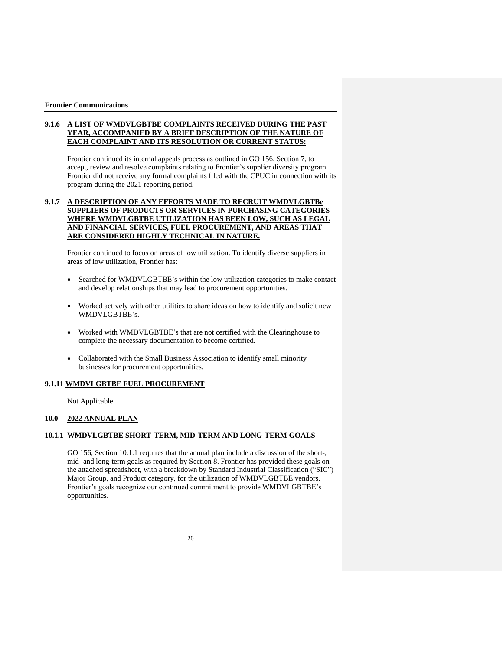#### **9.1.6 A LIST OF WMDVLGBTBE COMPLAINTS RECEIVED DURING THE PAST YEAR, ACCOMPANIED BY A BRIEF DESCRIPTION OF THE NATURE OF EACH COMPLAINT AND ITS RESOLUTION OR CURRENT STATUS:**

Frontier continued its internal appeals process as outlined in GO 156, Section 7, to accept, review and resolve complaints relating to Frontier's supplier diversity program. Frontier did not receive any formal complaints filed with the CPUC in connection with its program during the 2021 reporting period.

#### **9.1.7 A DESCRIPTION OF ANY EFFORTS MADE TO RECRUIT WMDVLGBTBe SUPPLIERS OF PRODUCTS OR SERVICES IN PURCHASING CATEGORIES WHERE WMDVLGBTBE UTILIZATION HAS BEEN LOW, SUCH AS LEGAL AND FINANCIAL SERVICES, FUEL PROCUREMENT, AND AREAS THAT ARE CONSIDERED HIGHLY TECHNICAL IN NATURE.**

Frontier continued to focus on areas of low utilization. To identify diverse suppliers in areas of low utilization, Frontier has:

- Searched for WMDVLGBTBE's within the low utilization categories to make contact and develop relationships that may lead to procurement opportunities.
- Worked actively with other utilities to share ideas on how to identify and solicit new WMDVLGBTBE's.
- Worked with WMDVLGBTBE's that are not certified with the Clearinghouse to complete the necessary documentation to become certified.
- Collaborated with the Small Business Association to identify small minority businesses for procurement opportunities.

#### **9.1.11 WMDVLGBTBE FUEL PROCUREMENT**

Not Applicable

#### **10.0 2022 ANNUAL PLAN**

#### **10.1.1 WMDVLGBTBE SHORT-TERM, MID-TERM AND LONG-TERM GOALS**

GO 156, Section 10.1.1 requires that the annual plan include a discussion of the short-, mid- and long-term goals as required by Section 8. Frontier has provided these goals on the attached spreadsheet, with a breakdown by Standard Industrial Classification ("SIC") Major Group, and Product category, for the utilization of WMDVLGBTBE vendors. Frontier's goals recognize our continued commitment to provide WMDVLGBTBE's opportunities.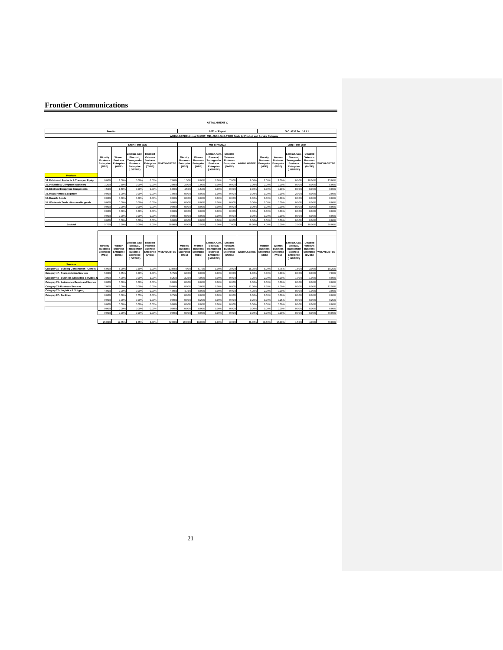|                                               |                                                    |                                                 |                                                                                               |                                                                 |                   |                                                    |                                                 | <b>ATTACHMENT C</b>                                                                  |                                                                 |                                                                                   |                                                    |                                                 |                                                                                       |                                                                 |                   |  |  |
|-----------------------------------------------|----------------------------------------------------|-------------------------------------------------|-----------------------------------------------------------------------------------------------|-----------------------------------------------------------------|-------------------|----------------------------------------------------|-------------------------------------------------|--------------------------------------------------------------------------------------|-----------------------------------------------------------------|-----------------------------------------------------------------------------------|----------------------------------------------------|-------------------------------------------------|---------------------------------------------------------------------------------------|-----------------------------------------------------------------|-------------------|--|--|
|                                               | Frontier                                           |                                                 |                                                                                               |                                                                 |                   |                                                    | 2021 of Report                                  |                                                                                      |                                                                 |                                                                                   |                                                    | G.O. #156 Sec. 10.1.1                           |                                                                                       |                                                                 |                   |  |  |
|                                               |                                                    |                                                 |                                                                                               |                                                                 |                   |                                                    |                                                 |                                                                                      |                                                                 | WMDVLGBTBE Annual SHORT, MID, AND LONG-TERM Goals by Product and Service Category |                                                    |                                                 |                                                                                       |                                                                 |                   |  |  |
|                                               | Short-Term 2022                                    |                                                 |                                                                                               |                                                                 |                   | Mid-Term 2023                                      |                                                 |                                                                                      |                                                                 | Long-Term 2024                                                                    |                                                    |                                                 |                                                                                       |                                                                 |                   |  |  |
|                                               | Minority<br><b>Business</b><br>Enterprise<br>(MBE) | Women<br><b>Business</b><br>Enterprise<br>(WBE) | Lesbian, Gav.<br>Bisexual.<br><b>Transgender</b><br><b>Business</b><br>Enterorise<br>(LGBTBE) | Disabled<br>Veterans<br><b>Business</b><br>Enterprise<br>(DVBE) | <b>WMDVLGBTBE</b> | Minority<br><b>Business</b><br>Enterprise<br>(MBE) | Women<br><b>Business</b><br>Enterprise<br>(WBE) | esbian, Gav.<br>Bisexual.<br>ransgender<br><b>Business</b><br>Enterprise<br>(LGBTBE) | Disabled<br>Veterans<br><b>Business</b><br>Enterprise<br>(DVBE) | <b>WMDVLGBTBE</b>                                                                 | Minority<br><b>Business</b><br>Enterprise<br>(MBE) | Women<br><b>Business</b><br>Enterprise<br>(WBE) | Lesbian, Gav.<br>Bisexual.<br>ransgender<br><b>Business</b><br>Enterprise<br>(LGBTBE) | Disabled<br>Veterans<br><b>Business</b><br>Enterprise<br>(DVBE) | <b>WMDVLGBTBE</b> |  |  |
| <b>Products</b>                               |                                                    |                                                 |                                                                                               |                                                                 |                   |                                                    |                                                 |                                                                                      |                                                                 |                                                                                   |                                                    |                                                 |                                                                                       |                                                                 |                   |  |  |
| 34. Fabricated Products & Transport Equip     | 0.00%                                              | 1.00%                                           | 0.009                                                                                         | 6.00%                                                           | 7.00%             | 1.50%                                              | 0.00%                                           | 0.00%                                                                                | 7.00%                                                           | 8.50%                                                                             | 2.00%                                              | 1.00%                                           | 0.00%                                                                                 | 10.00%                                                          | 13.00%            |  |  |
| 35. Industrial & Computer Machinery           | 1.209                                              | 0.80%                                           | 0.009                                                                                         | 0.00%                                                           | 2.00%             | 2.00%                                              | 1.00%                                           | 0.00%                                                                                | 0.00%                                                           | 3.00%                                                                             | 2.00%                                              | 3.00%                                           | 0.00%                                                                                 | 0.00%                                                           | 5.00%             |  |  |
| 36. Electrical Equipment Components           | 4.50%                                              | 1.50%                                           | 0.00%                                                                                         | 0.00%                                                           | 6,009             | 4.50%                                              | 1.50%                                           | 0.00%                                                                                | 0.00%                                                           | 0.00%                                                                             | 0.00%                                              | 0.009                                           | 0.00%                                                                                 | 0.00%                                                           | 0.00%             |  |  |
| 38. Measurement Equipment                     | 0.00%                                              | 1.00%                                           | 0.009                                                                                         | 0.00%                                                           | 1.00%             | 0.00%                                              | 0.00%                                           | 1.00%                                                                                | 0.00%                                                           | 0.002                                                                             | 0.00%                                              | 0.009                                           | 2,00%                                                                                 | 0.009                                                           | 2.00%             |  |  |
| 50. Durable Goods                             | 0.00%                                              | 0.00%                                           | 0.009                                                                                         | 0.00%                                                           | 0.00%             | 0.00%                                              | 0.00%                                           | 0.00%                                                                                | 0.00%                                                           | 0.002                                                                             | 0.00%                                              | 0.00%                                           | 0.00%                                                                                 | 0.009                                                           | 0.002             |  |  |
| 51. Wholesale Trade - Nondurable goods        | 0.00%                                              | 0.00%                                           | 0.00%                                                                                         | 0.00%                                                           | 0.00%             | 0.00%                                              | 0.00%                                           | 0.00%                                                                                | 0.00%                                                           | 0.00%                                                                             | 0.00%                                              | 0.009                                           | 0.00%                                                                                 | 0.00%                                                           | 0.00%             |  |  |
|                                               | 0.00%                                              | 0.00%                                           | 0.00%                                                                                         | 0.00%                                                           | 0.00%             | 0.00%                                              | 0.00%                                           | 0.00%                                                                                | 0.00%                                                           | 0.002                                                                             | 0.00%                                              | 0.009                                           | 0.00%                                                                                 | 0.00%                                                           | 0.00%             |  |  |
|                                               | 0.00%                                              | 0.00%                                           | 0.009                                                                                         | 0.00%                                                           | 0.00%             | 0.00%                                              | 0.00%                                           | 0.00%                                                                                | 0.00%                                                           | 0.002                                                                             | 0.00%                                              | 0.009                                           | 0.00%                                                                                 | 0.00%                                                           | 0.002             |  |  |
|                                               | 0.00%                                              | 0.00%                                           | 0.009                                                                                         | 0.00%                                                           | 0.00%             | 0.00%                                              | 0.00%                                           | 0.00%                                                                                | 0.00%                                                           | 0.002                                                                             | 0.00%                                              | 0.00%                                           | 0.00%                                                                                 | 0.00%                                                           | 0.002             |  |  |
|                                               | 0.00%                                              | 0.00%                                           | 0.00%                                                                                         | 0.00%                                                           | 0.00%             | 0.00%                                              | 0.00%                                           | 0.00%                                                                                | 0.00%                                                           | 0.002                                                                             | 0.00%                                              | 0.009                                           | 0.009                                                                                 | 0.00%                                                           | 0.00%             |  |  |
| Subtotal                                      | 5.70%                                              | 3.30%                                           | 0.00%                                                                                         | 6.00%                                                           | 16.009            | 8.00%                                              | 2.50%                                           | 1.00%                                                                                | 7.00%                                                           | 18.50%                                                                            | 4.00%                                              | 3.00%                                           | 2.00%                                                                                 | 10.00%                                                          | 20.00%            |  |  |
|                                               | Minority<br><b>Business</b><br>Enterprise<br>(MBE) | Women<br><b>Business</b><br>Enterprise<br>(WBE) | Lesbian, Gav.<br>Bisexual.<br>ransgender<br><b>Business</b><br>Enterprise<br>(LGBTBE)         | Disabled<br>Veterans<br><b>Business</b><br>Enterprise<br>(DVBE) | <b>WMDVLGBTBE</b> | Minority<br><b>Business</b><br>Enterprise<br>(MBE) | Women<br><b>Business</b><br>Enterprise<br>(WBE) | esbian, Gav.<br>Bisexual.<br>ransgender<br><b>Business</b><br>Enterprise<br>(LGBTBE) | Disabled<br>Veterans<br><b>Business</b><br>Enterprise<br>(DVBE) | <b>WMDVLGBTBE</b>                                                                 | Minority<br><b>Business</b><br>Enterprise<br>(MBE) | Women<br><b>Business</b><br>Enterprise<br>(WBE) | Lesbian, Gav.<br>Bisexual.<br>ransgender<br><b>Business</b><br>Enterprise<br>(LGBTBE) | Disabled<br>Veterans<br><b>Business</b><br>Enterprise<br>(DVBE) | <b>WMDVLGBTBE</b> |  |  |
| <b>Services</b>                               |                                                    |                                                 |                                                                                               |                                                                 |                   |                                                    |                                                 |                                                                                      |                                                                 |                                                                                   |                                                    |                                                 |                                                                                       |                                                                 |                   |  |  |
| Category 15 - Building Construction - General | 6,00%                                              | 5.00%                                           | 0.50%                                                                                         | 2.00%                                                           | 13,509            | 7.00%                                              | 5.75%                                           | 1.00%                                                                                | 3.00%                                                           | 16.75%                                                                            | 8.00%                                              | 5.75%                                           | 1.50%                                                                                 | 3.00%                                                           | 18.25%            |  |  |
| Category 47 - Transportation Services         | 5.00%                                              | 0.75%                                           | 0.009                                                                                         | 0.00%                                                           | 5.75%             | 6.00%                                              | 0.00%                                           | 0.00%                                                                                | 0.00%                                                           | 6.00%                                                                             | 7.00%                                              | 0.009                                           | 0.00%                                                                                 | 0.00%                                                           | 7.00%             |  |  |
| Category 48 - Business Consulting Services,   | 3.00%                                              | 4.00%                                           | 0.00%                                                                                         | 1.00%                                                           | 8.25%             | 3.25%                                              | 4.00%                                           | 0.00%                                                                                | 0.00%                                                           | 7.25%                                                                             | 2.00%                                              | 5.00%                                           | 1.00%                                                                                 | 1.00%                                                           | 9.00%             |  |  |
| Category 75 - Automotive Repair and Service   | 0.00%                                              | 0.00%                                           | 0.009                                                                                         | 0.00%                                                           | 0.00%             | 0.00%                                              | 0.00%                                           | 0.00%                                                                                | 0.00%                                                           | 0.002                                                                             | 0.00%                                              | 0.009                                           | 0.00%                                                                                 | 0.00%                                                           | 0.002             |  |  |
| Category 73- Business Services                | 7.00%                                              | 3.00%                                           | 0.009                                                                                         | 0.00%                                                           | 10.00%            | 8.00%                                              | 3.00%                                           | 0.00%                                                                                | 0.00%                                                           | 11.00%                                                                            | 8.50%                                              | 4.00%                                           | 0.00%                                                                                 | 0.00%                                                           | 12.50%            |  |  |
| Category 72 - Logistics & Shipping            | 4.00%                                              | 0.00%                                           | 0.009                                                                                         | 0.00%                                                           | 4.00%             | 4.75%                                              | 0.00%                                           | 0.00%                                                                                | 0.00%                                                           | 4.75%                                                                             | 2.00%                                              | 0.00%                                           | 0.00%                                                                                 | 1.00%                                                           | 3.00%             |  |  |
| Category 87 - Facilities                      | 0.00%                                              | 0.00%                                           | 0.75%                                                                                         | 0.00%                                                           | 0.75%             | 0.00%                                              | 0.00%                                           | 0.00%                                                                                | 0.00%                                                           | 0.00%                                                                             | 0.00%                                              | 0.009                                           | 0.00%                                                                                 | 0.00%                                                           | 0.002             |  |  |
|                                               | 0.00%                                              | 0.005                                           | 0.009                                                                                         | 0.00%                                                           | 0.00%             | 0.00%                                              | 0.25%                                           | 0.00%                                                                                | 0.00%                                                           | 0.25%                                                                             | 0.005                                              | 0.25%                                           | 0.00%                                                                                 | 0.009                                                           | 0.25%             |  |  |
|                                               | 0.005                                              | 0.00%                                           | 0.009                                                                                         | 0.00%                                                           | 0.009             | 0.00%                                              | 0.009                                           | 0.00%                                                                                | 0.00%                                                           | 0.00%                                                                             | 0.00%                                              | 0.00%                                           | 0.00%                                                                                 | 0.009                                                           | 0.002             |  |  |
|                                               | 0.00%                                              | 0.00%                                           | 0.009                                                                                         | 0.00%                                                           | 0.00%             | 0.00%                                              | 0.00%                                           | 0.00%                                                                                | 0.00%                                                           | 0.002                                                                             | 0.00%                                              | 0.009                                           | 0.00%                                                                                 | 0.00%                                                           | 0.00%             |  |  |
|                                               | 0.00%                                              | 0.00%                                           | 0.00%                                                                                         | 0.00%                                                           | 0.00%             | 0.00%                                              | 0.00%                                           | 0.00%                                                                                | 0.00%                                                           | 0.00%                                                                             | 0.00%                                              | 0.009                                           | 0.00%                                                                                 | 0.00%                                                           | 50,00%            |  |  |
|                                               | 25,00%                                             | 12.75%                                          | 1.25%                                                                                         | 3.00%                                                           | 42.00%            | 29.00%                                             | 13.00%                                          | 1.00%                                                                                | 3.00%                                                           | 46.00%                                                                            | 29.50%                                             | 15.00%                                          | 1.50%                                                                                 | 4.00%                                                           | 50.00%            |  |  |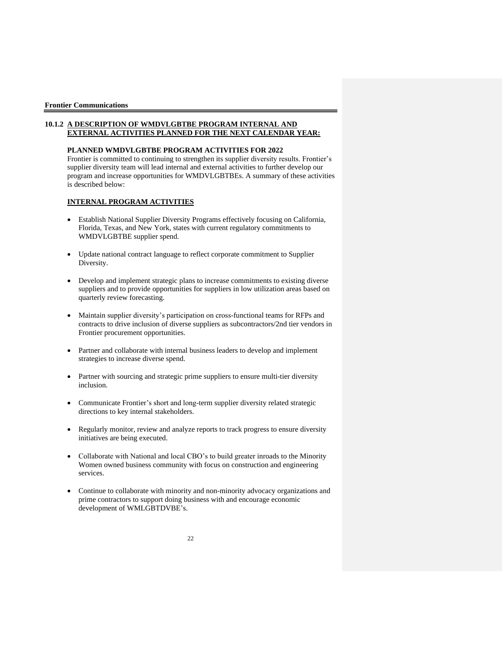#### **10.1.2 A DESCRIPTION OF WMDVLGBTBE PROGRAM INTERNAL AND EXTERNAL ACTIVITIES PLANNED FOR THE NEXT CALENDAR YEAR:**

#### **PLANNED WMDVLGBTBE PROGRAM ACTIVITIES FOR 2022**

Frontier is committed to continuing to strengthen its supplier diversity results. Frontier's supplier diversity team will lead internal and external activities to further develop our program and increase opportunities for WMDVLGBTBEs. A summary of these activities is described below:

#### **INTERNAL PROGRAM ACTIVITIES**

- Establish National Supplier Diversity Programs effectively focusing on California, Florida, Texas, and New York, states with current regulatory commitments to WMDVLGBTBE supplier spend.
- Update national contract language to reflect corporate commitment to Supplier Diversity.
- Develop and implement strategic plans to increase commitments to existing diverse suppliers and to provide opportunities for suppliers in low utilization areas based on quarterly review forecasting.
- Maintain supplier diversity's participation on cross-functional teams for RFPs and contracts to drive inclusion of diverse suppliers as subcontractors/2nd tier vendors in Frontier procurement opportunities.
- Partner and collaborate with internal business leaders to develop and implement strategies to increase diverse spend.
- Partner with sourcing and strategic prime suppliers to ensure multi-tier diversity inclusion.
- Communicate Frontier's short and long-term supplier diversity related strategic directions to key internal stakeholders.
- Regularly monitor, review and analyze reports to track progress to ensure diversity initiatives are being executed.
- Collaborate with National and local CBO's to build greater inroads to the Minority Women owned business community with focus on construction and engineering services.
- Continue to collaborate with minority and non-minority advocacy organizations and prime contractors to support doing business with and encourage economic development of WMLGBTDVBE's.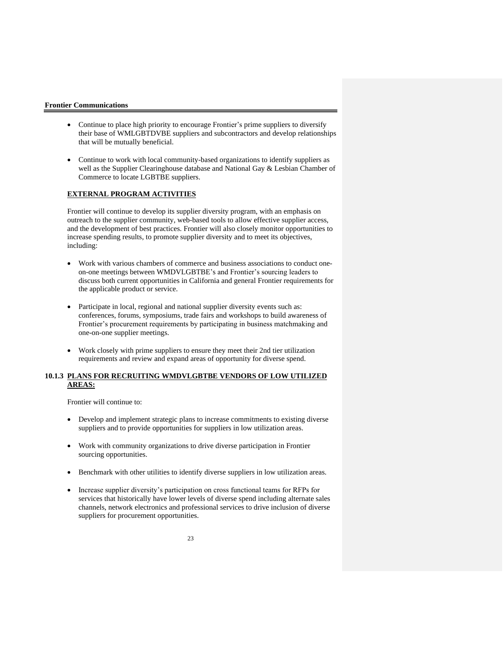- Continue to place high priority to encourage Frontier's prime suppliers to diversify their base of WMLGBTDVBE suppliers and subcontractors and develop relationships that will be mutually beneficial.
- Continue to work with local community-based organizations to identify suppliers as well as the Supplier Clearinghouse database and National Gay & Lesbian Chamber of Commerce to locate LGBTBE suppliers.

#### **EXTERNAL PROGRAM ACTIVITIES**

Frontier will continue to develop its supplier diversity program, with an emphasis on outreach to the supplier community, web-based tools to allow effective supplier access, and the development of best practices. Frontier will also closely monitor opportunities to increase spending results, to promote supplier diversity and to meet its objectives, including:

- Work with various chambers of commerce and business associations to conduct oneon-one meetings between WMDVLGBTBE's and Frontier's sourcing leaders to discuss both current opportunities in California and general Frontier requirements for the applicable product or service.
- Participate in local, regional and national supplier diversity events such as: conferences, forums, symposiums, trade fairs and workshops to build awareness of Frontier's procurement requirements by participating in business matchmaking and one-on-one supplier meetings.
- Work closely with prime suppliers to ensure they meet their 2nd tier utilization requirements and review and expand areas of opportunity for diverse spend.

#### **10.1.3 PLANS FOR RECRUITING WMDVLGBTBE VENDORS OF LOW UTILIZED AREAS:**

Frontier will continue to:

- Develop and implement strategic plans to increase commitments to existing diverse suppliers and to provide opportunities for suppliers in low utilization areas.
- Work with community organizations to drive diverse participation in Frontier sourcing opportunities.
- Benchmark with other utilities to identify diverse suppliers in low utilization areas.
- Increase supplier diversity's participation on cross functional teams for RFPs for services that historically have lower levels of diverse spend including alternate sales channels, network electronics and professional services to drive inclusion of diverse suppliers for procurement opportunities.